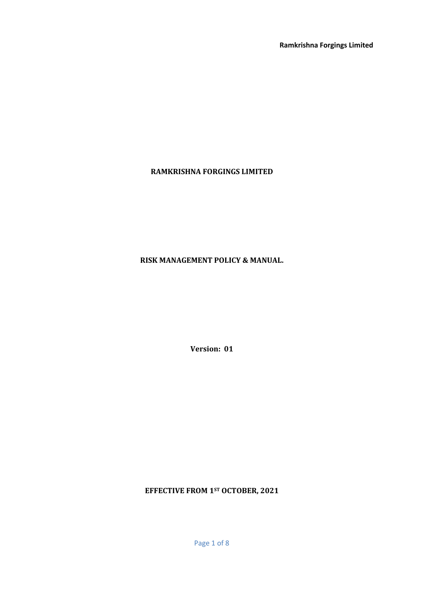# **RAMKRISHNA FORGINGS LIMITED**

# **RISK MANAGEMENT POLICY & MANUAL.**

**Version: 01**

**EFFECTIVE FROM 1ST OCTOBER, 2021**

Page 1 of 8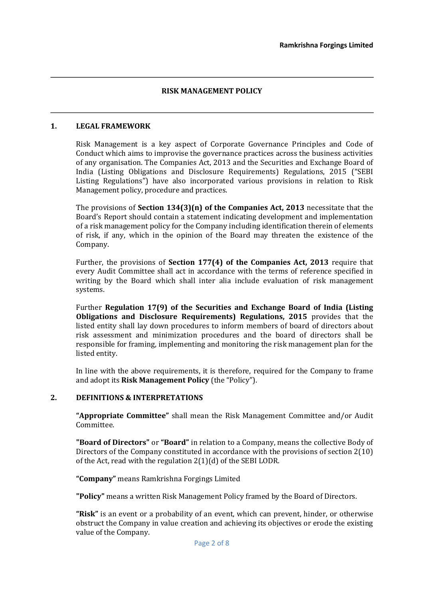## **RISK MANAGEMENT POLICY**

### **1. LEGAL FRAMEWORK**

Risk Management is a key aspect of Corporate Governance Principles and Code of Conduct which aims to improvise the governance practices across the business activities of any organisation. The Companies Act, 2013 and the Securities and Exchange Board of India (Listing Obligations and Disclosure Requirements) Regulations, 2015 ("SEBI Listing Regulations") have also incorporated various provisions in relation to Risk Management policy, procedure and practices.

The provisions of **Section 134(3)(n) of the Companies Act, 2013** necessitate that the Board's Report should contain a statement indicating development and implementation of a risk management policy for the Company including identification therein of elements of risk, if any, which in the opinion of the Board may threaten the existence of the Company.

Further, the provisions of **Section 177(4) of the Companies Act, 2013** require that every Audit Committee shall act in accordance with the terms of reference specified in writing by the Board which shall inter alia include evaluation of risk management systems.

Further **Regulation 17(9) of the Securities and Exchange Board of India (Listing Obligations and Disclosure Requirements) Regulations, 2015** provides that the listed entity shall lay down procedures to inform members of board of directors about risk assessment and minimization procedures and the board of directors shall be responsible for framing, implementing and monitoring the risk management plan for the listed entity.

In line with the above requirements, it is therefore, required for the Company to frame and adopt its **Risk Management Policy** (the "Policy").

#### **2. DEFINITIONS & INTERPRETATIONS**

**"Appropriate Committee"** shall mean the Risk Management Committee and/or Audit Committee.

**"Board of Directors"** or **"Board"** in relation to a Company, means the collective Body of Directors of the Company constituted in accordance with the provisions of section 2(10) of the Act, read with the regulation 2(1)(d) of the SEBI LODR.

**"Company"** means Ramkrishna Forgings Limited

**"Policy"** means a written Risk Management Policy framed by the Board of Directors.

**"Risk"** is an event or a probability of an event, which can prevent, hinder, or otherwise obstruct the Company in value creation and achieving its objectives or erode the existing value of the Company.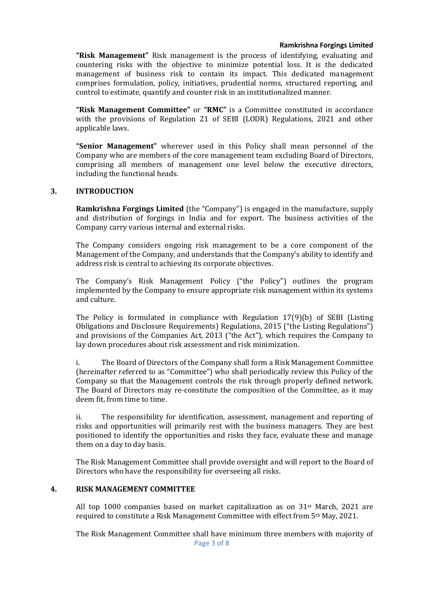**"Risk Management"** Risk management is the process of identifying, evaluating and countering risks with the objective to minimize potential loss. It is the dedicated management of business risk to contain its impact. This dedicated management comprises formulation, policy, initiatives, prudential norms, structured reporting, and control to estimate, quantify and counter risk in an institutionalized manner.

**"Risk Management Committee"** or **"RMC"** is a Committee constituted in accordance with the provisions of Regulation 21 of SEBI (LODR) Regulations, 2021 and other applicable laws.

**"Senior Management"** wherever used in this Policy shall mean personnel of the Company who are members of the core management team excluding Board of Directors, comprising all members of management one level below the executive directors, including the functional heads.

## **3. INTRODUCTION**

**Ramkrishna Forgings Limited** (the "Company") is engaged in the manufacture, supply and distribution of forgings in India and for export. The business activities of the Company carry various internal and external risks.

The Company considers ongoing risk management to be a core component of the Management of the Company, and understands that the Company's ability to identify and address risk is central to achieving its corporate objectives.

The Company's Risk Management Policy ("the Policy") outlines the program implemented by the Company to ensure appropriate risk management within its systems and culture.

The Policy is formulated in compliance with Regulation 17(9)(b) of SEBI (Listing Obligations and Disclosure Requirements) Regulations, 2015 ("the Listing Regulations") and provisions of the Companies Act, 2013 ("the Act"), which requires the Company to lay down procedures about risk assessment and risk minimization.

i. The Board of Directors of the Company shall form a Risk Management Committee (hereinafter referred to as "Committee") who shall periodically review this Policy of the Company so that the Management controls the risk through properly defined network. The Board of Directors may re-constitute the composition of the Committee, as it may deem fit, from time to time.

ii. The responsibility for identification, assessment, management and reporting of risks and opportunities will primarily rest with the business managers. They are best positioned to identify the opportunities and risks they face, evaluate these and manage them on a day to day basis.

The Risk Management Committee shall provide oversight and will report to the Board of Directors who have the responsibility for overseeing all risks.

## **4. RISK MANAGEMENT COMMITTEE**

All top 1000 companies based on market capitalization as on  $31^{st}$  March, 2021 are required to constitute a Risk Management Committee with effect from 5th May, 2021.

The Risk Management Committee shall have minimum three members with majority of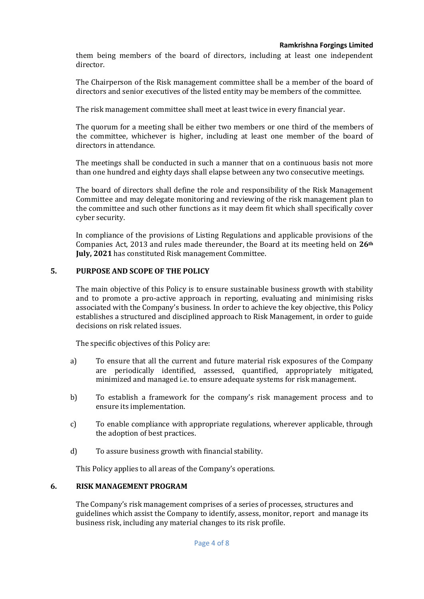them being members of the board of directors, including at least one independent director.

The Chairperson of the Risk management committee shall be a member of the board of directors and senior executives of the listed entity may be members of the committee.

The risk management committee shall meet at least twice in every financial year.

The quorum for a meeting shall be either two members or one third of the members of the committee, whichever is higher, including at least one member of the board of directors in attendance.

The meetings shall be conducted in such a manner that on a continuous basis not more than one hundred and eighty days shall elapse between any two consecutive meetings.

The board of directors shall define the role and responsibility of the Risk Management Committee and may delegate monitoring and reviewing of the risk management plan to the committee and such other functions as it may deem fit which shall specifically cover cyber security.

In compliance of the provisions of Listing Regulations and applicable provisions of the Companies Act, 2013 and rules made thereunder, the Board at its meeting held on **26th July, 2021** has constituted Risk management Committee.

## **5. PURPOSE AND SCOPE OF THE POLICY**

The main objective of this Policy is to ensure sustainable business growth with stability and to promote a pro-active approach in reporting, evaluating and minimising risks associated with the Company's business. In order to achieve the key objective, this Policy establishes a structured and disciplined approach to Risk Management, in order to guide decisions on risk related issues.

The specific objectives of this Policy are:

- a) To ensure that all the current and future material risk exposures of the Company are periodically identified, assessed, quantified, appropriately mitigated, minimized and managed i.e. to ensure adequate systems for risk management.
- b) To establish a framework for the company's risk management process and to ensure its implementation.
- c) To enable compliance with appropriate regulations, wherever applicable, through the adoption of best practices.
- d) To assure business growth with financial stability.

This Policy applies to all areas of the Company's operations.

## **6. RISK MANAGEMENT PROGRAM**

The Company's risk management comprises of a series of processes, structures and guidelines which assist the Company to identify, assess, monitor, report and manage its business risk, including any material changes to its risk profile.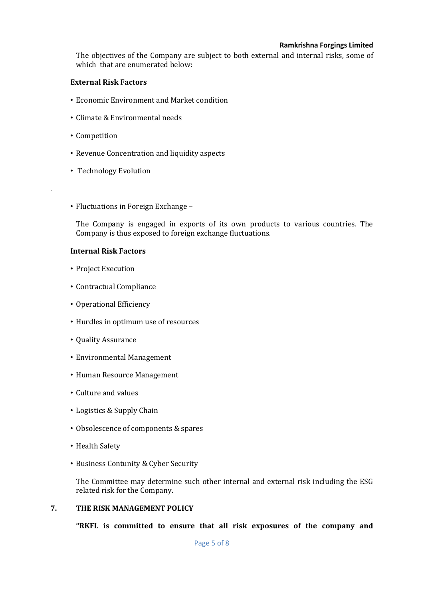The objectives of the Company are subject to both external and internal risks, some of which that are enumerated below:

### **External Risk Factors**

- Economic Environment and Market condition
- Climate & Environmental needs
- Competition

.

- Revenue Concentration and liquidity aspects
- Technology Evolution
- Fluctuations in Foreign Exchange –

The Company is engaged in exports of its own products to various countries. The Company is thus exposed to foreign exchange fluctuations.

#### **Internal Risk Factors**

- Project Execution
- Contractual Compliance
- Operational Efficiency
- Hurdles in optimum use of resources
- Quality Assurance
- Environmental Management
- Human Resource Management
- Culture and values
- Logistics & Supply Chain
- Obsolescence of components & spares
- Health Safety
- Business Contunity & Cyber Security

The Committee may determine such other internal and external risk including the ESG related risk for the Company.

#### **7. THE RISK MANAGEMENT POLICY**

**"RKFL is committed to ensure that all risk exposures of the company and**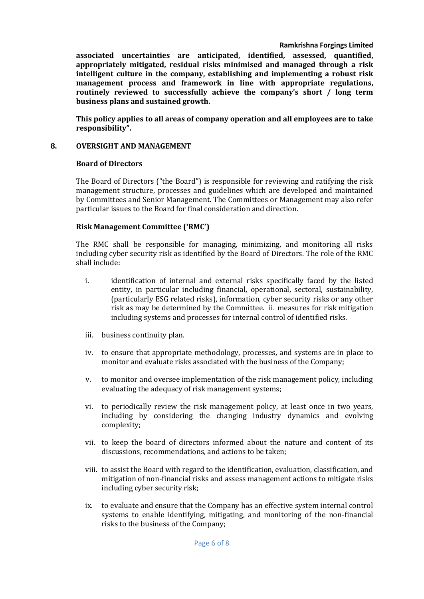**associated uncertainties are anticipated, identified, assessed, quantified, appropriately mitigated, residual risks minimised and managed through a risk intelligent culture in the company, establishing and implementing a robust risk management process and framework in line with appropriate regulations, routinely reviewed to successfully achieve the company's short / long term business plans and sustained growth.**

**This policy applies to all areas of company operation and all employees are to take responsibility".**

## **8. OVERSIGHT AND MANAGEMENT**

#### **Board of Directors**

The Board of Directors ("the Board") is responsible for reviewing and ratifying the risk management structure, processes and guidelines which are developed and maintained by Committees and Senior Management. The Committees or Management may also refer particular issues to the Board for final consideration and direction.

## **Risk Management Committee ('RMC')**

The RMC shall be responsible for managing, minimizing, and monitoring all risks including cyber security risk as identified by the Board of Directors. The role of the RMC shall include:

- i. identification of internal and external risks specifically faced by the listed entity, in particular including financial, operational, sectoral, sustainability, (particularly ESG related risks), information, cyber security risks or any other risk as may be determined by the Committee. ii. measures for risk mitigation including systems and processes for internal control of identified risks.
- iii. business continuity plan.
- iv. to ensure that appropriate methodology, processes, and systems are in place to monitor and evaluate risks associated with the business of the Company;
- v. to monitor and oversee implementation of the risk management policy, including evaluating the adequacy of risk management systems;
- vi. to periodically review the risk management policy, at least once in two years, including by considering the changing industry dynamics and evolving complexity;
- vii. to keep the board of directors informed about the nature and content of its discussions, recommendations, and actions to be taken;
- viii. to assist the Board with regard to the identification, evaluation, classification, and mitigation of non-financial risks and assess management actions to mitigate risks including cyber security risk;
- ix. to evaluate and ensure that the Company has an effective system internal control systems to enable identifying, mitigating, and monitoring of the non-financial risks to the business of the Company;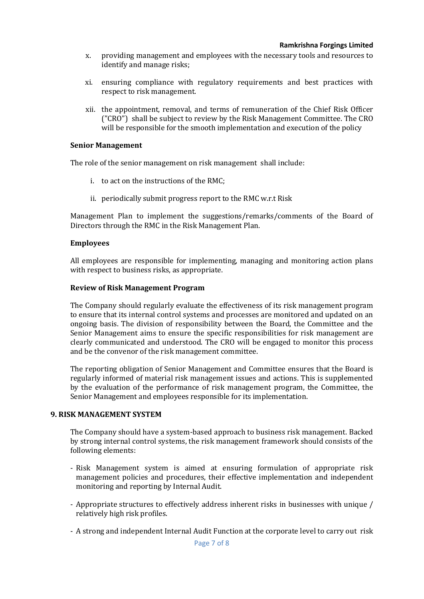- x. providing management and employees with the necessary tools and resources to identify and manage risks;
- xi. ensuring compliance with regulatory requirements and best practices with respect to risk management.
- xii. the appointment, removal, and terms of remuneration of the Chief Risk Officer ("CRO") shall be subject to review by the Risk Management Committee. The CRO will be responsible for the smooth implementation and execution of the policy

#### **Senior Management**

The role of the senior management on risk management shall include:

- i. to act on the instructions of the RMC;
- ii. periodically submit progress report to the RMC w.r.t Risk

Management Plan to implement the suggestions/remarks/comments of the Board of Directors through the RMC in the Risk Management Plan.

#### **Employees**

All employees are responsible for implementing, managing and monitoring action plans with respect to business risks, as appropriate.

#### **Review of Risk Management Program**

The Company should regularly evaluate the effectiveness of its risk management program to ensure that its internal control systems and processes are monitored and updated on an ongoing basis. The division of responsibility between the Board, the Committee and the Senior Management aims to ensure the specific responsibilities for risk management are clearly communicated and understood. The CRO will be engaged to monitor this process and be the convenor of the risk management committee.

The reporting obligation of Senior Management and Committee ensures that the Board is regularly informed of material risk management issues and actions. This is supplemented by the evaluation of the performance of risk management program, the Committee, the Senior Management and employees responsible for its implementation.

#### **9. RISK MANAGEMENT SYSTEM**

The Company should have a system-based approach to business risk management. Backed by strong internal control systems, the risk management framework should consists of the following elements:

- Risk Management system is aimed at ensuring formulation of appropriate risk management policies and procedures, their effective implementation and independent monitoring and reporting by Internal Audit.
- Appropriate structures to effectively address inherent risks in businesses with unique / relatively high risk profiles.
- A strong and independent Internal Audit Function at the corporate level to carry out risk